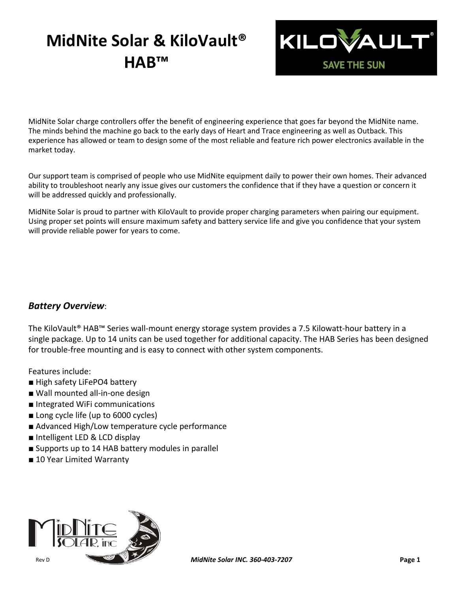## **MidNite Solar & KiloVault® HAB™**



MidNite Solar charge controllers offer the benefit of engineering experience that goes far beyond the MidNite name. The minds behind the machine go back to the early days of Heart and Trace engineering as well as Outback. This experience has allowed or team to design some of the most reliable and feature rich power electronics available in the market today.

Our support team is comprised of people who use MidNite equipment daily to power their own homes. Their advanced ability to troubleshoot nearly any issue gives our customers the confidence that if they have a question or concern it will be addressed quickly and professionally.

MidNite Solar is proud to partner with KiloVault to provide proper charging parameters when pairing our equipment. Using proper set points will ensure maximum safety and battery service life and give you confidence that your system will provide reliable power for years to come.

#### *Battery Overview*:

The KiloVault® HAB™ Series wall-mount energy storage system provides a 7.5 Kilowatt-hour battery in a single package. Up to 14 units can be used together for additional capacity. The HAB Series has been designed for trouble-free mounting and is easy to connect with other system components.

Features include:

- High safety LiFePO4 battery
- Wall mounted all-in-one design
- Integrated WiFi communications
- Long cycle life (up to 6000 cycles)
- Advanced High/Low temperature cycle performance
- Intelligent LED & LCD display
- Supports up to 14 HAB battery modules in parallel
- 10 Year Limited Warranty

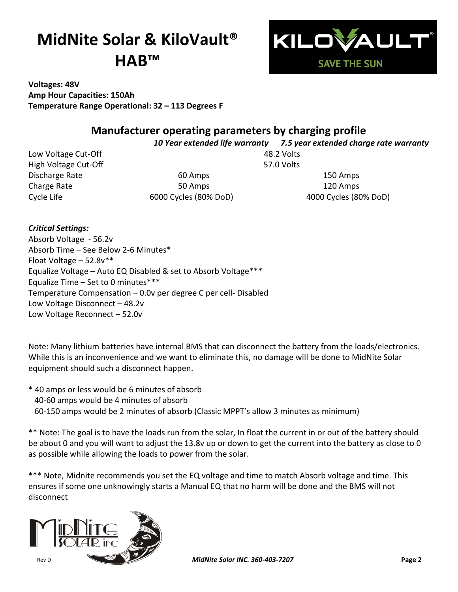# **MidNite Solar & KiloVault® HAB™**



**Voltages: 48V Amp Hour Capacities: 150Ah Temperature Range Operational: 32 – 113 Degrees F**

### **Manufacturer operating parameters by charging profile**

*10 Year extended life warranty 7.5 year extended charge rate warranty*

Low Voltage Cut-Off **1988** 2 Volts High Voltage Cut-Off 57.0 Volts

Discharge Rate 60 Amps 150 Amps Charge Rate **120 Amps** 120 Amps 120 Amps

Cycle Life 6000 Cycles (80% DoD) 4000 Cycles (80% DoD)

*Critical Settings:* Absorb Voltage - 56.2v Absorb Time – See Below 2-6 Minutes\* Float Voltage – 52.8v\*\* Equalize Voltage – Auto EQ Disabled & set to Absorb Voltage\*\*\* Equalize Time – Set to 0 minutes\*\*\* Temperature Compensation – 0.0v per degree C per cell- Disabled Low Voltage Disconnect – 48.2v Low Voltage Reconnect – 52.0v

Note: Many lithium batteries have internal BMS that can disconnect the battery from the loads/electronics. While this is an inconvenience and we want to eliminate this, no damage will be done to MidNite Solar equipment should such a disconnect happen.

\* 40 amps or less would be 6 minutes of absorb 40-60 amps would be 4 minutes of absorb 60-150 amps would be 2 minutes of absorb (Classic MPPT's allow 3 minutes as minimum)

\*\* Note: The goal is to have the loads run from the solar, In float the current in or out of the battery should be about 0 and you will want to adjust the 13.8v up or down to get the current into the battery as close to 0 as possible while allowing the loads to power from the solar.

\*\*\* Note, Midnite recommends you set the EQ voltage and time to match Absorb voltage and time. This ensures if some one unknowingly starts a Manual EQ that no harm will be done and the BMS will not disconnect